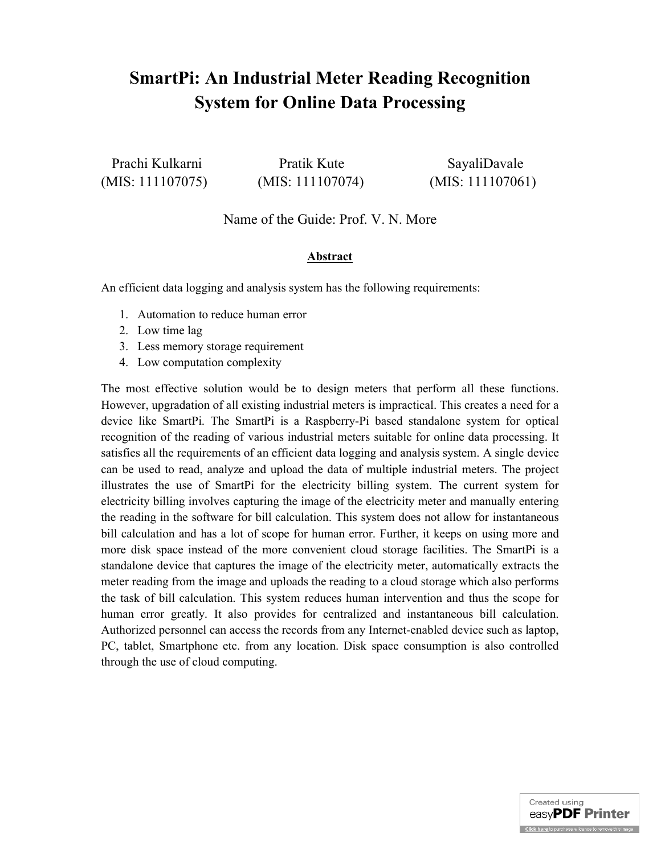# **SmartPi: An Industrial Meter Reading Recognition System for Online Data Processing**

(MIS: 111107075) (MIS: 111107074) (MIS: 111107061)

Prachi Kulkarni Pratik Kute SayaliDavale

## Name of the Guide: Prof. V. N. More

#### **Abstract**

An efficient data logging and analysis system has the following requirements:

- 1. Automation to reduce human error
- 2. Low time lag
- 3. Less memory storage requirement
- 4. Low computation complexity

The most effective solution would be to design meters that perform all these functions. However, upgradation of all existing industrial meters is impractical. This creates a need for a device like SmartPi. The SmartPi is a Raspberry-Pi based standalone system for optical recognition of the reading of various industrial meters suitable for online data processing. It satisfies all the requirements of an efficient data logging and analysis system. A single device can be used to read, analyze and upload the data of multiple industrial meters. The project illustrates the use of SmartPi for the electricity billing system. The current system for electricity billing involves capturing the image of the electricity meter and manually entering the reading in the software for bill calculation. This system does not allow for instantaneous bill calculation and has a lot of scope for human error. Further, it keeps on using more and more disk space instead of the more convenient cloud storage facilities. The SmartPi is a standalone device that captures the image of the electricity meter, automatically extracts the meter reading from the image and uploads the reading to a cloud storage which also performs the task of bill calculation. This system reduces human intervention and thus the scope for human error greatly. It also provides for centralized and instantaneous bill calculation. Authorized personnel can access the records from any Internet-enabled device such as laptop, PC, tablet, Smartphone etc. from any location. Disk space consumption is also controlled through the use of cloud computing.

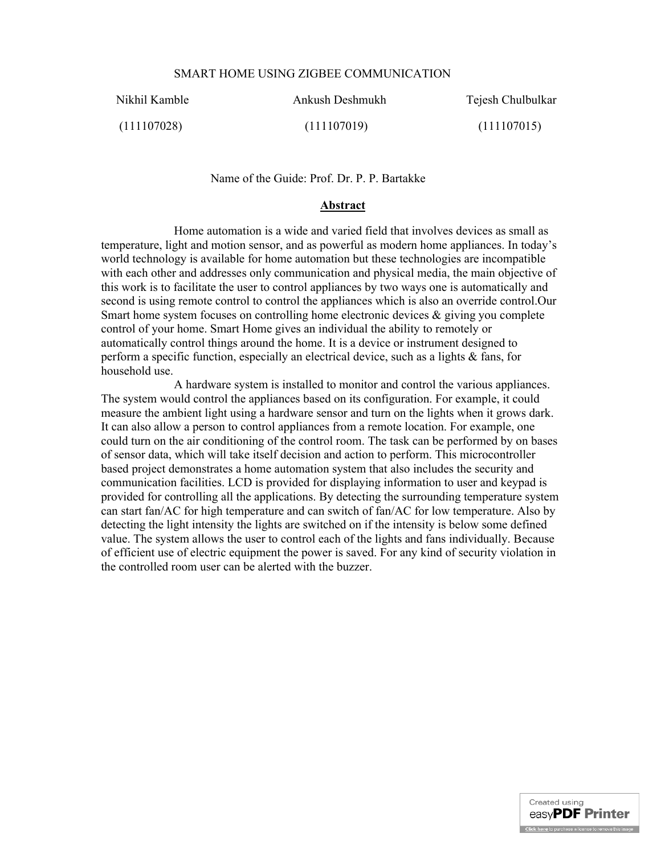#### SMART HOME USING ZIGBEE COMMUNICATION

Nikhil Kamble Ankush Deshmukh Tejesh Chulbulkar

(111107028) (111107019) (111107015)

Name of the Guide: Prof. Dr. P. P. Bartakke

#### **Abstract**

Home automation is a wide and varied field that involves devices as small as temperature, light and motion sensor, and as powerful as modern home appliances. In today's world technology is available for home automation but these technologies are incompatible with each other and addresses only communication and physical media, the main objective of this work is to facilitate the user to control appliances by two ways one is automatically and second is using remote control to control the appliances which is also an override control.Our Smart home system focuses on controlling home electronic devices  $\&$  giving you complete control of your home. Smart Home gives an individual the ability to remotely or automatically control things around the home. It is a device or instrument designed to perform a specific function, especially an electrical device, such as a lights & fans, for household use.

A hardware system is installed to monitor and control the various appliances. The system would control the appliances based on its configuration. For example, it could measure the ambient light using a hardware sensor and turn on the lights when it grows dark. It can also allow a person to control appliances from a remote location. For example, one could turn on the air conditioning of the control room. The task can be performed by on bases of sensor data, which will take itself decision and action to perform. This microcontroller based project demonstrates a home automation system that also includes the security and communication facilities. LCD is provided for displaying information to user and keypad is provided for controlling all the applications. By detecting the surrounding temperature system can start fan/AC for high temperature and can switch of fan/AC for low temperature. Also by detecting the light intensity the lights are switched on if the intensity is below some defined value. The system allows the user to control each of the lights and fans individually. Because of efficient use of electric equipment the power is saved. For any kind of security violation in the controlled room user can be alerted with the buzzer.

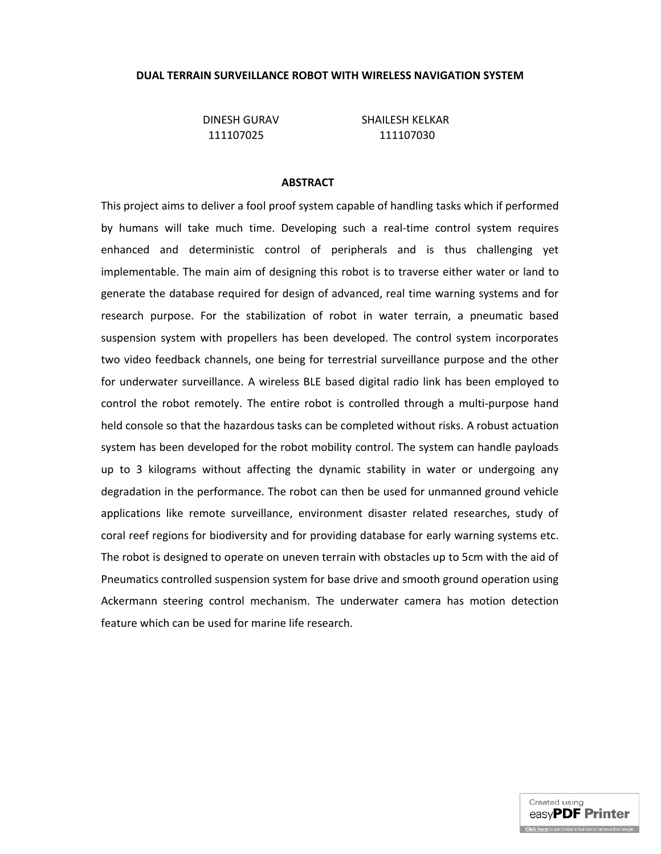#### **DUAL TERRAIN SURVEILLANCE ROBOT WITH WIRELESS NAVIGATION SYSTEM**

DINESH GURAV SHAILESH KELKAR

111107025 111107030

#### **ABSTRACT**

This project aims to deliver a fool proof system capable of handling tasks which if performed by humans will take much time. Developing such a real-time control system requires enhanced and deterministic control of peripherals and is thus challenging yet implementable. The main aim of designing this robot is to traverse either water or land to generate the database required for design of advanced, real time warning systems and for research purpose. For the stabilization of robot in water terrain, a pneumatic based suspension system with propellers has been developed. The control system incorporates two video feedback channels, one being for terrestrial surveillance purpose and the other for underwater surveillance. A wireless BLE based digital radio link has been employed to control the robot remotely. The entire robot is controlled through a multi-purpose hand held console so that the hazardous tasks can be completed without risks. A robust actuation system has been developed for the robot mobility control. The system can handle payloads up to 3 kilograms without affecting the dynamic stability in water or undergoing any degradation in the performance. The robot can then be used for unmanned ground vehicle applications like remote surveillance, environment disaster related researches, study of coral reef regions for biodiversity and for providing database for early warning systems etc. The robot is designed to operate on uneven terrain with obstacles up to 5cm with the aid of Pneumatics controlled suspension system for base drive and smooth ground operation using Ackermann steering control mechanism. The underwater camera has motion detection feature which can be used for marine life research.

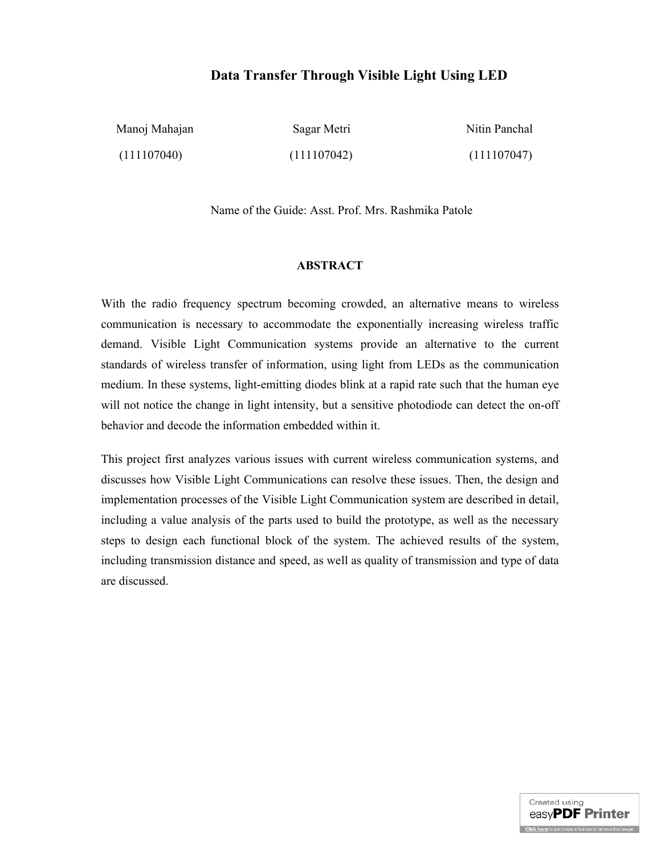## **Data Transfer Through Visible Light Using LED**

| Manoj Mahajan | Sagar Metri | Nitin Panchal |
|---------------|-------------|---------------|
| (111107040)   | (111107042) | (111107047)   |

Name of the Guide: Asst. Prof. Mrs. Rashmika Patole

#### **ABSTRACT**

With the radio frequency spectrum becoming crowded, an alternative means to wireless communication is necessary to accommodate the exponentially increasing wireless traffic demand. Visible Light Communication systems provide an alternative to the current standards of wireless transfer of information, using light from LEDs as the communication medium. In these systems, light-emitting diodes blink at a rapid rate such that the human eye will not notice the change in light intensity, but a sensitive photodiode can detect the on-off behavior and decode the information embedded within it.

This project first analyzes various issues with current wireless communication systems, and discusses how Visible Light Communications can resolve these issues. Then, the design and implementation processes of the Visible Light Communication system are described in detail, including a value analysis of the parts used to build the prototype, as well as the necessary steps to design each functional block of the system. The achieved results of the system, including transmission distance and speed, as well as quality of transmission and type of data are discussed.

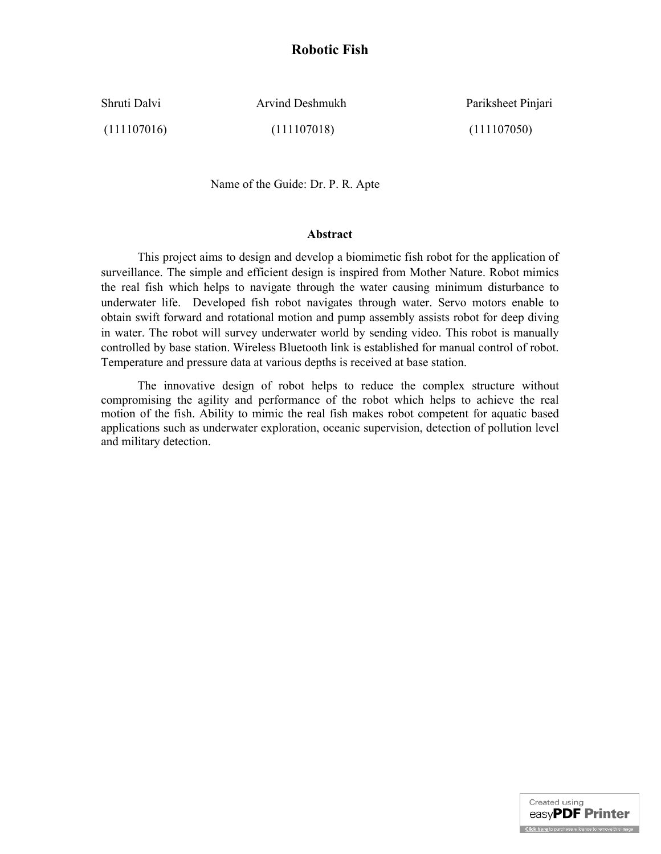## **Robotic Fish**

Shruti Dalvi **Arvind Deshmukh** Pariksheet Pinjari

(111107016) (111107018) (111107050)

Name of the Guide: Dr. P. R. Apte

#### **Abstract**

This project aims to design and develop a biomimetic fish robot for the application of surveillance. The simple and efficient design is inspired from Mother Nature. Robot mimics the real fish which helps to navigate through the water causing minimum disturbance to underwater life. Developed fish robot navigates through water. Servo motors enable to obtain swift forward and rotational motion and pump assembly assists robot for deep diving in water. The robot will survey underwater world by sending video. This robot is manually controlled by base station. Wireless Bluetooth link is established for manual control of robot. Temperature and pressure data at various depths is received at base station.

The innovative design of robot helps to reduce the complex structure without compromising the agility and performance of the robot which helps to achieve the real motion of the fish. Ability to mimic the real fish makes robot competent for aquatic based applications such as underwater exploration, oceanic supervision, detection of pollution level and military detection.

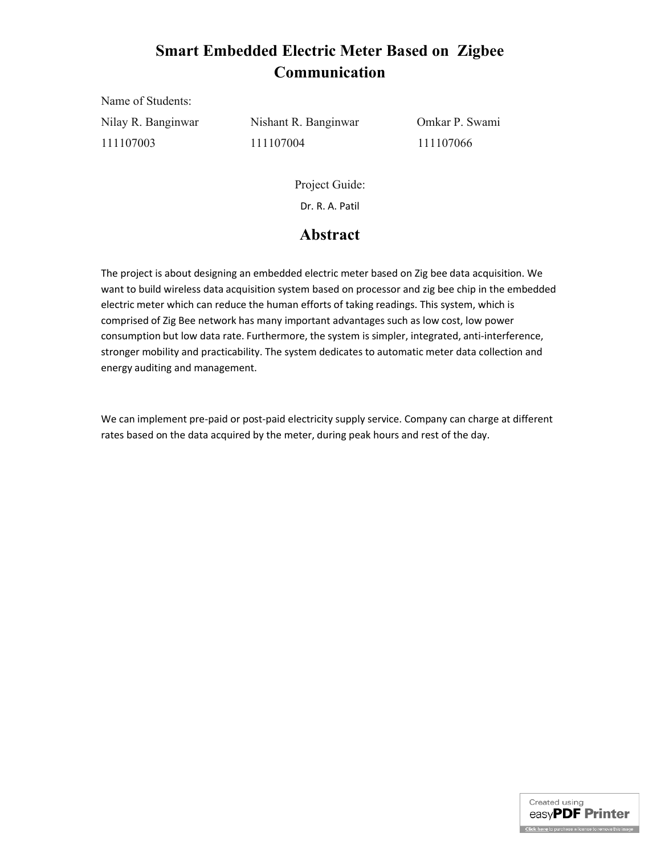# **Smart Embedded Electric Meter Based on Zigbee Communication**

Name of Students:

Nilay R. Banginwar Nishant R. Banginwar Omkar P. Swami 111107003 111107004 111107066

Project Guide: Dr. R. A. Patil

## **Abstract**

The project is about designing an embedded electric meter based on Zig bee data acquisition. We want to build wireless data acquisition system based on processor and zig bee chip in the embedded electric meter which can reduce the human efforts of taking readings. This system, which is comprised of Zig Bee network has many important advantages such as low cost, low power consumption but low data rate. Furthermore, the system is simpler, integrated, anti-interference, stronger mobility and practicability. The system dedicates to automatic meter data collection and energy auditing and management.

We can implement pre-paid or post-paid electricity supply service. Company can charge at different rates based on the data acquired by the meter, during peak hours and rest of the day.

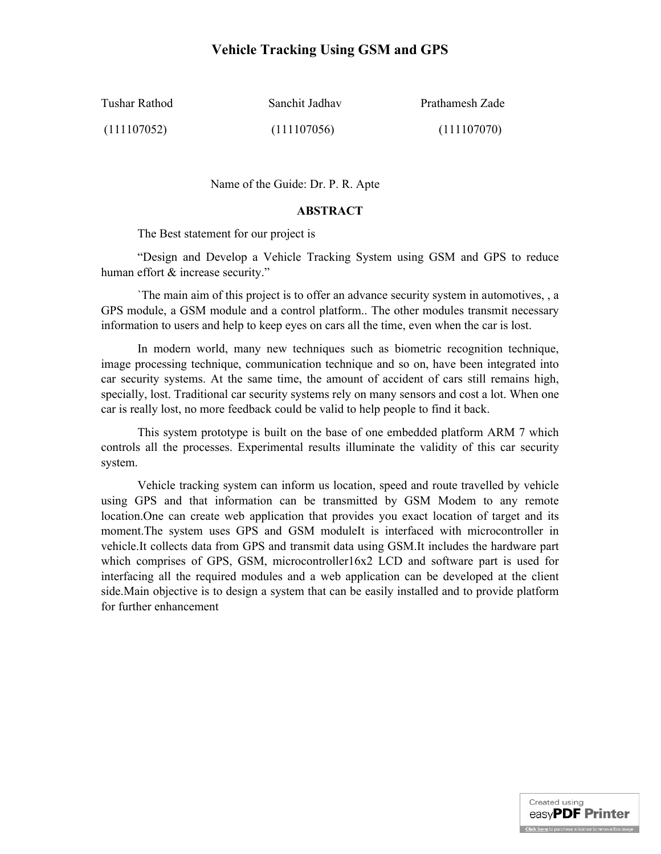## **Vehicle Tracking Using GSM and GPS**

| Tushar Rathod | Sanchit Jadhav | Prathamesh Zade |
|---------------|----------------|-----------------|
| (111107052)   | (111107056)    | (111107070)     |

Name of the Guide: Dr. P. R. Apte

#### **ABSTRACT**

The Best statement for our project is

"Design and Develop a Vehicle Tracking System using GSM and GPS to reduce human effort & increase security."

`The main aim of this project is to offer an advance security system in automotives, , a GPS module, a GSM module and a control platform.. The other modules transmit necessary information to users and help to keep eyes on cars all the time, even when the car is lost.

In modern world, many new techniques such as biometric recognition technique, image processing technique, communication technique and so on, have been integrated into car security systems. At the same time, the amount of accident of cars still remains high, specially, lost. Traditional car security systems rely on many sensors and cost a lot. When one car is really lost, no more feedback could be valid to help people to find it back.

This system prototype is built on the base of one embedded platform ARM 7 which controls all the processes. Experimental results illuminate the validity of this car security system.

Vehicle tracking system can inform us location, speed and route travelled by vehicle using GPS and that information can be transmitted by GSM Modem to any remote location.One can create web application that provides you exact location of target and its moment.The system uses GPS and GSM moduleIt is interfaced with microcontroller in vehicle.It collects data from GPS and transmit data using GSM.It includes the hardware part which comprises of GPS, GSM, microcontroller16x2 LCD and software part is used for interfacing all the required modules and a web application can be developed at the client side.Main objective is to design a system that can be easily installed and to provide platform for further enhancement

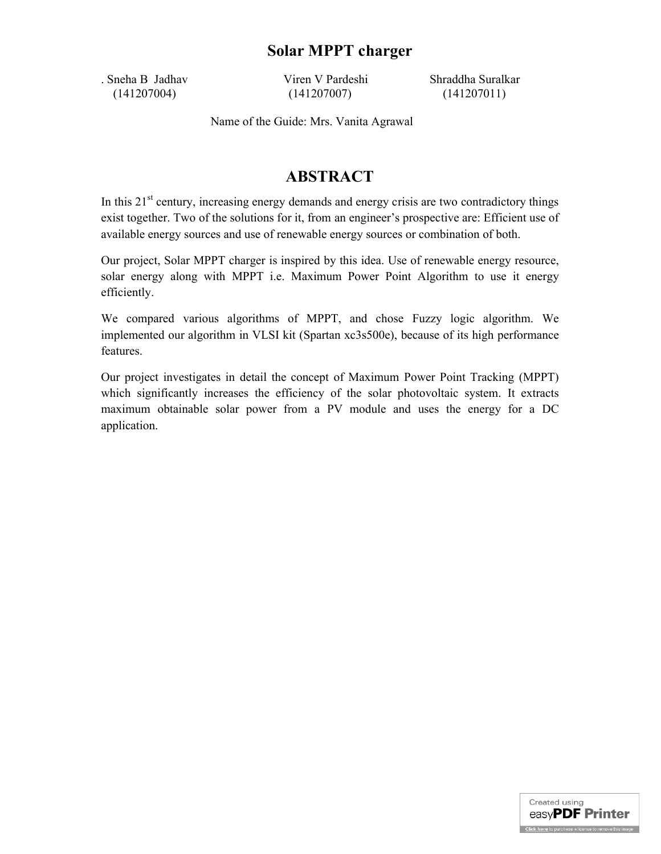## **Solar MPPT charger**

. Sneha B Jadhav Viren V Pardeshi Shraddha Suralkar (141207004) (141207007) (141207011)

Name of the Guide: Mrs. Vanita Agrawal

# **ABSTRACT**

In this 21<sup>st</sup> century, increasing energy demands and energy crisis are two contradictory things exist together. Two of the solutions for it, from an engineer's prospective are: Efficient use of available energy sources and use of renewable energy sources or combination of both.

Our project, Solar MPPT charger is inspired by this idea. Use of renewable energy resource, solar energy along with MPPT i.e. Maximum Power Point Algorithm to use it energy efficiently.

We compared various algorithms of MPPT, and chose Fuzzy logic algorithm. We implemented our algorithm in VLSI kit (Spartan xc3s500e), because of its high performance features.

Our project investigates in detail the concept of Maximum Power Point Tracking (MPPT) which significantly increases the efficiency of the solar photovoltaic system. It extracts maximum obtainable solar power from a PV module and uses the energy for a DC application.

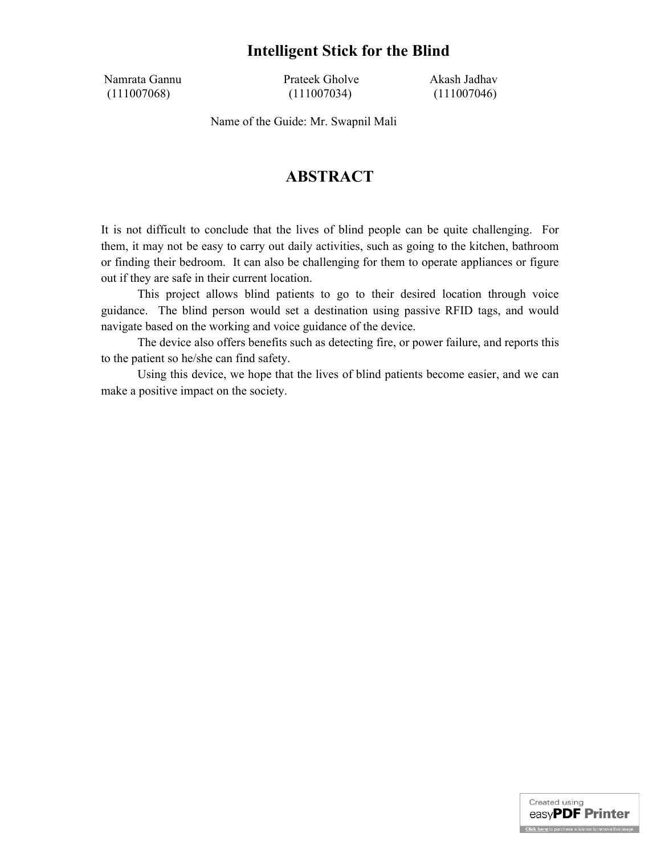## **Intelligent Stick for the Blind**

Namrata Gannu Prateek Gholve Akash Jadhav (111007068) (111007034) (111007046)

Name of the Guide: Mr. Swapnil Mali

# **ABSTRACT**

It is not difficult to conclude that the lives of blind people can be quite challenging. For them, it may not be easy to carry out daily activities, such as going to the kitchen, bathroom or finding their bedroom. It can also be challenging for them to operate appliances or figure out if they are safe in their current location.

This project allows blind patients to go to their desired location through voice guidance. The blind person would set a destination using passive RFID tags, and would navigate based on the working and voice guidance of the device.

The device also offers benefits such as detecting fire, or power failure, and reports this to the patient so he/she can find safety.

Using this device, we hope that the lives of blind patients become easier, and we can make a positive impact on the society.

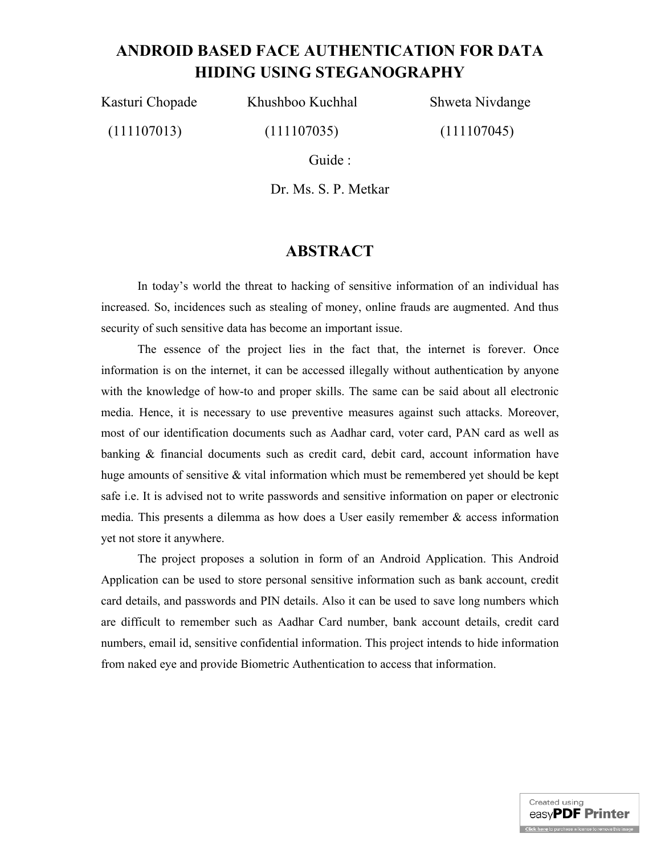# **ANDROID BASED FACE AUTHENTICATION FOR DATA HIDING USING STEGANOGRAPHY**

Kasturi Chopade Khushboo Kuchhal Shweta Nivdange

(111107013) (111107035) (111107045)

Guide :

Dr. Ms. S. P. Metkar

## **ABSTRACT**

In today's world the threat to hacking of sensitive information of an individual has increased. So, incidences such as stealing of money, online frauds are augmented. And thus security of such sensitive data has become an important issue.

The essence of the project lies in the fact that, the internet is forever. Once information is on the internet, it can be accessed illegally without authentication by anyone with the knowledge of how-to and proper skills. The same can be said about all electronic media. Hence, it is necessary to use preventive measures against such attacks. Moreover, most of our identification documents such as Aadhar card, voter card, PAN card as well as banking & financial documents such as credit card, debit card, account information have huge amounts of sensitive & vital information which must be remembered yet should be kept safe i.e. It is advised not to write passwords and sensitive information on paper or electronic media. This presents a dilemma as how does a User easily remember  $\&$  access information yet not store it anywhere.

The project proposes a solution in form of an Android Application. This Android Application can be used to store personal sensitive information such as bank account, credit card details, and passwords and PIN details. Also it can be used to save long numbers which are difficult to remember such as Aadhar Card number, bank account details, credit card numbers, email id, sensitive confidential information. This project intends to hide information from naked eye and provide Biometric Authentication to access that information.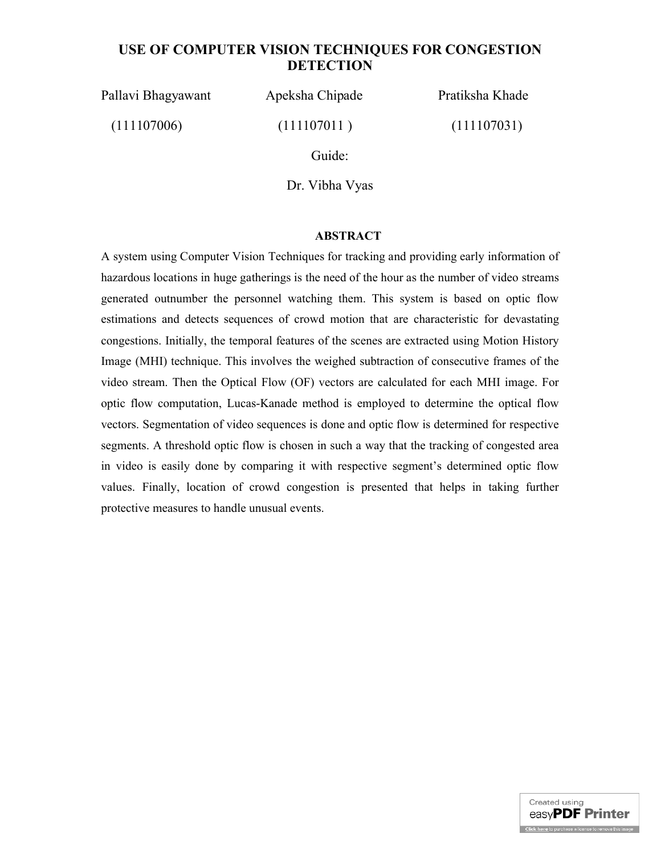## **USE OF COMPUTER VISION TECHNIQUES FOR CONGESTION DETECTION**

Pallavi Bhagyawant Apeksha Chipade Pratiksha Khade

 $(111107006)$   $(111107011)$   $(111107031)$ 

Guide:

Dr. Vibha Vyas

#### **ABSTRACT**

A system using Computer Vision Techniques for tracking and providing early information of hazardous locations in huge gatherings is the need of the hour as the number of video streams generated outnumber the personnel watching them. This system is based on optic flow estimations and detects sequences of crowd motion that are characteristic for devastating congestions. Initially, the temporal features of the scenes are extracted using Motion History Image (MHI) technique. This involves the weighed subtraction of consecutive frames of the video stream. Then the Optical Flow (OF) vectors are calculated for each MHI image. For optic flow computation, Lucas-Kanade method is employed to determine the optical flow vectors. Segmentation of video sequences is done and optic flow is determined for respective segments. A threshold optic flow is chosen in such a way that the tracking of congested area in video is easily done by comparing it with respective segment's determined optic flow values. Finally, location of crowd congestion is presented that helps in taking further protective measures to handle unusual events.

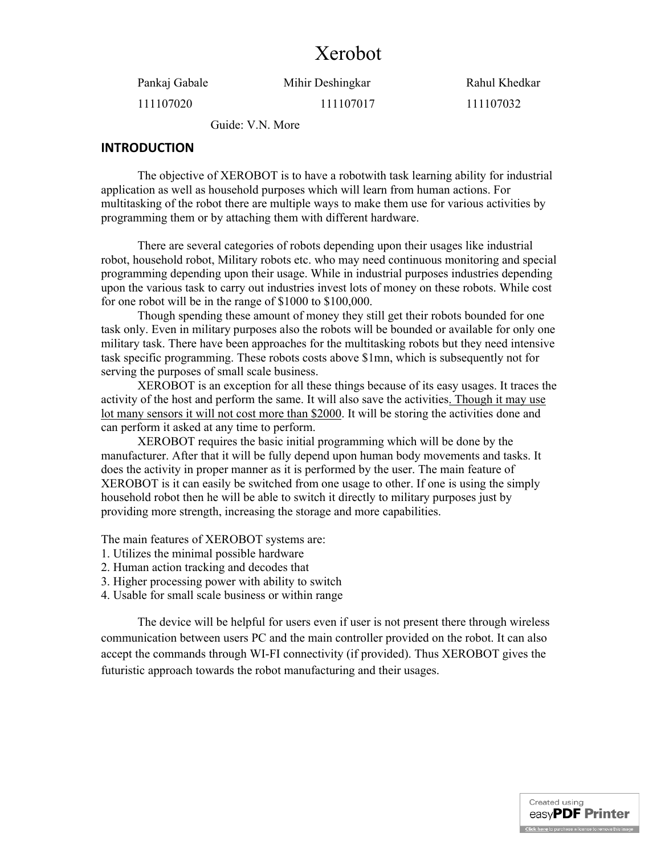# Xerobot

111107020 111107017 111107032

Pankaj Gabale Mihir Deshingkar Rahul Khedkar

Guide: V.N. More

#### **INTRODUCTION**

The objective of XEROBOT is to have a robotwith task learning ability for industrial application as well as household purposes which will learn from human actions. For multitasking of the robot there are multiple ways to make them use for various activities by programming them or by attaching them with different hardware.

There are several categories of robots depending upon their usages like industrial robot, household robot, Military robots etc. who may need continuous monitoring and special programming depending upon their usage. While in industrial purposes industries depending upon the various task to carry out industries invest lots of money on these robots. While cost for one robot will be in the range of \$1000 to \$100,000.

Though spending these amount of money they still get their robots bounded for one task only. Even in military purposes also the robots will be bounded or available for only one military task. There have been approaches for the multitasking robots but they need intensive task specific programming. These robots costs above \$1mn, which is subsequently not for serving the purposes of small scale business.

XEROBOT is an exception for all these things because of its easy usages. It traces the activity of the host and perform the same. It will also save the activities. Though it may use lot many sensors it will not cost more than \$2000. It will be storing the activities done and can perform it asked at any time to perform.

XEROBOT requires the basic initial programming which will be done by the manufacturer. After that it will be fully depend upon human body movements and tasks. It does the activity in proper manner as it is performed by the user. The main feature of XEROBOT is it can easily be switched from one usage to other. If one is using the simply household robot then he will be able to switch it directly to military purposes just by providing more strength, increasing the storage and more capabilities.

The main features of XEROBOT systems are:

- 1. Utilizes the minimal possible hardware
- 2. Human action tracking and decodes that
- 3. Higher processing power with ability to switch
- 4. Usable for small scale business or within range

The device will be helpful for users even if user is not present there through wireless communication between users PC and the main controller provided on the robot. It can also accept the commands through WI-FI connectivity (if provided). Thus XEROBOT gives the futuristic approach towards the robot manufacturing and their usages.

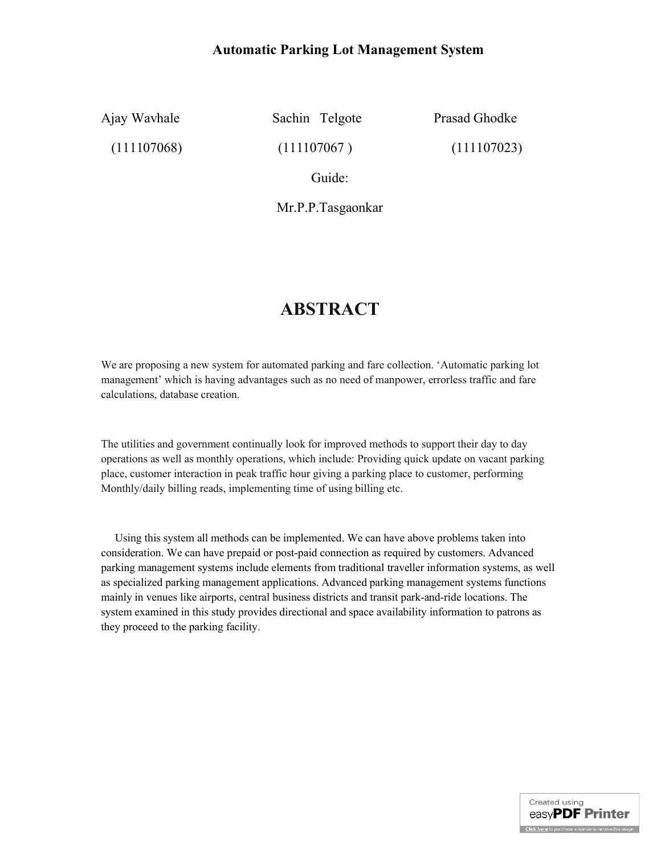## **Automatic Parking Lot Management System**

Ajay Wavhale Sachin Telgote Prasad Ghodke

 $(111107068)$   $(111107067)$   $(111107023)$ 

Guide:

Mr.P.P.Tasgaonkar

# **ABSTRACT**

We are proposing a new system for automated parking and fare collection. 'Automatic parking lot management' which is having advantages such as no need of manpower, errorless traffic and fare calculations, database creation.

The utilities and government continually look for improved methods to support their day to day operations as well as monthly operations, which include: Providing quick update on vacant parking place, customer interaction in peak traffic hour giving a parking place to customer, performing Monthly/daily billing reads, implementing time of using billing etc.

 Using this system all methods can be implemented. We can have above problems taken into consideration. We can have prepaid or post-paid connection as required by customers. Advanced parking management systems include elements from traditional traveller information systems, as well as specialized parking management applications. Advanced parking management systems functions mainly in venues like airports, central business districts and transit park-and-ride locations. The system examined in this study provides directional and space availability information to patrons as they proceed to the parking facility.

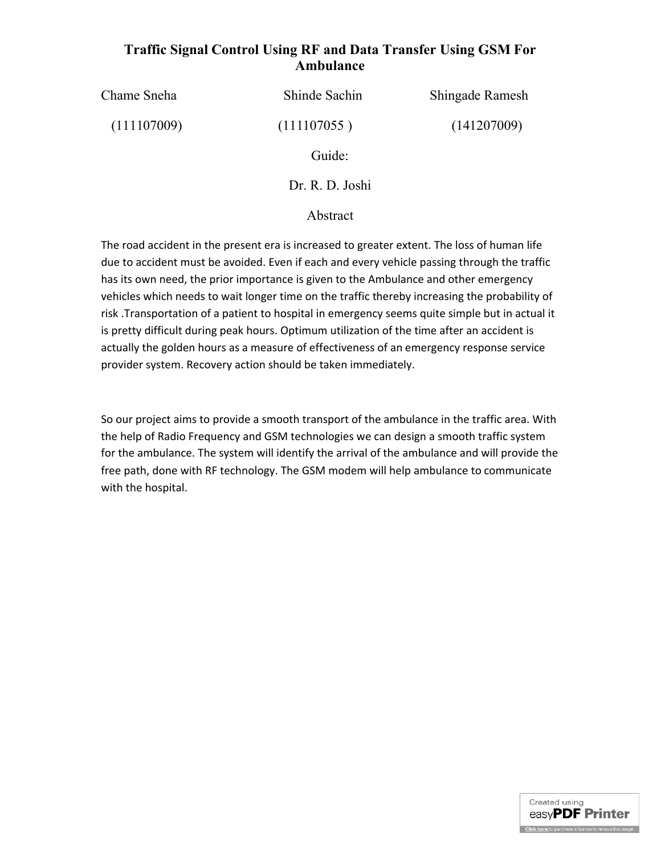## **Traffic Signal Control Using RF and Data Transfer Using GSM For Ambulance**

Chame Sneha Shinde Sachin Shingade Ramesh

 $(111107009)$   $(111107055)$   $(141207009)$ 

Guide:

Dr. R. D. Joshi

### Abstract

The road accident in the present era is increased to greater extent. The loss of human life due to accident must be avoided. Even if each and every vehicle passing through the traffic has its own need, the prior importance is given to the Ambulance and other emergency vehicles which needs to wait longer time on the traffic thereby increasing the probability of risk .Transportation of a patient to hospital in emergency seems quite simple but in actual it is pretty difficult during peak hours. Optimum utilization of the time after an accident is actually the golden hours as a measure of effectiveness of an emergency response service provider system. Recovery action should be taken immediately.

So our project aims to provide a smooth transport of the ambulance in the traffic area. With the help of Radio Frequency and GSM technologies we can design a smooth traffic system for the ambulance. The system will identify the arrival of the ambulance and will provide the free path, done with RF technology. The GSM modem will help ambulance to communicate with the hospital.

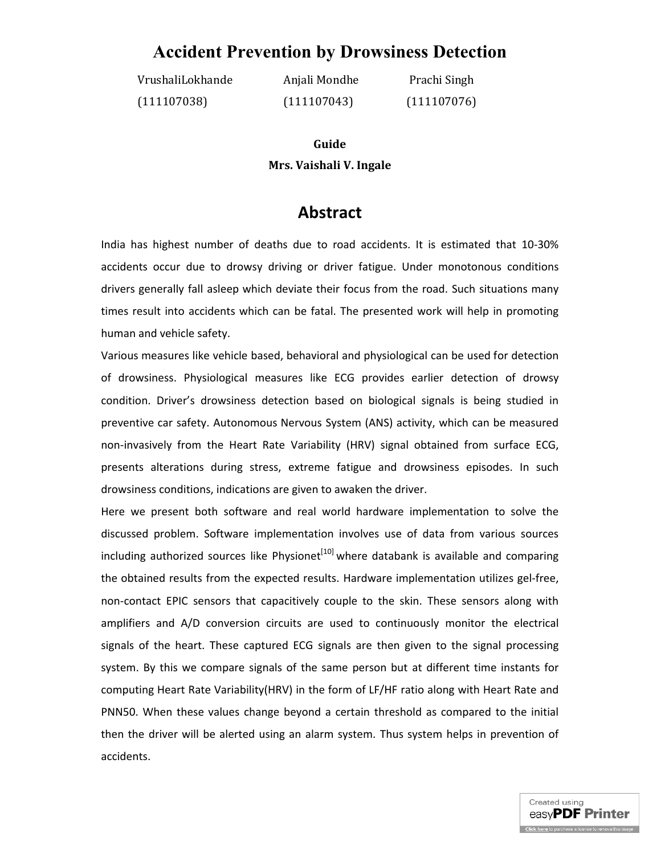# **Accident Prevention by Drowsiness Detection**

VrushaliLokhande Anjali Mondhe Prachi Singh (111107038) (111107043) (111107076)

# **Guide Mrs. Vaishali V. Ingale**

# **Abstract**

India has highest number of deaths due to road accidents. It is estimated that 10-30% accidents occur due to drowsy driving or driver fatigue. Under monotonous conditions drivers generally fall asleep which deviate their focus from the road. Such situations many times result into accidents which can be fatal. The presented work will help in promoting human and vehicle safety.

Various measures like vehicle based, behavioral and physiological can be used for detection of drowsiness. Physiological measures like ECG provides earlier detection of drowsy condition. Driver's drowsiness detection based on biological signals is being studied in preventive car safety. Autonomous Nervous System (ANS) activity, which can be measured non-invasively from the Heart Rate Variability (HRV) signal obtained from surface ECG, presents alterations during stress, extreme fatigue and drowsiness episodes. In such drowsiness conditions, indications are given to awaken the driver.

Here we present both software and real world hardware implementation to solve the discussed problem. Software implementation involves use of data from various sources including authorized sources like Physionet $[10]$  where databank is available and comparing the obtained results from the expected results. Hardware implementation utilizes gel-free, non-contact EPIC sensors that capacitively couple to the skin. These sensors along with amplifiers and A/D conversion circuits are used to continuously monitor the electrical signals of the heart. These captured ECG signals are then given to the signal processing system. By this we compare signals of the same person but at different time instants for computing Heart Rate Variability(HRV) in the form of LF/HF ratio along with Heart Rate and PNN50. When these values change beyond a certain threshold as compared to the initial then the driver will be alerted using an alarm system. Thus system helps in prevention of accidents.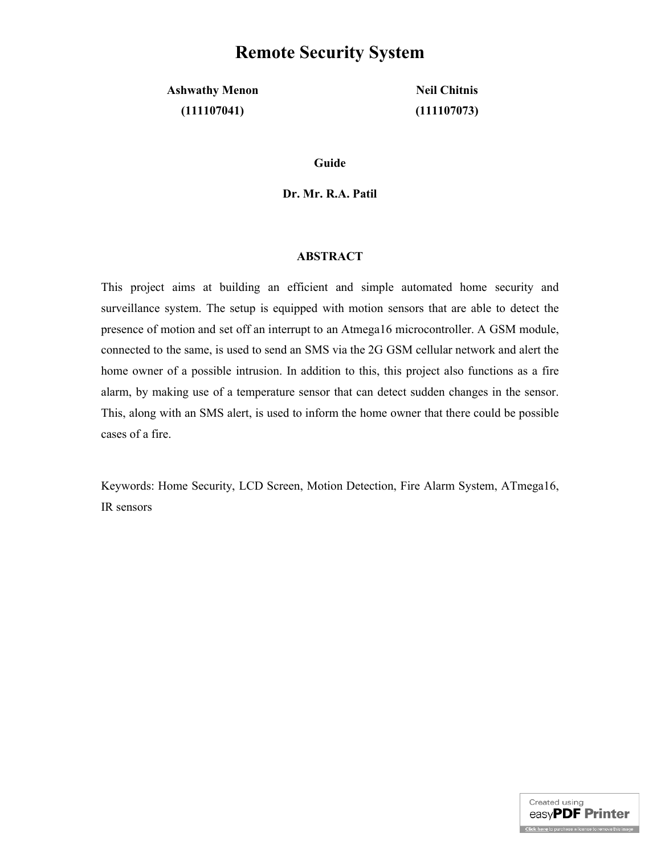# **Remote Security System**

**Ashwathy Menon Neil Chitnis (111107041) (111107073)**

**Guide** 

**Dr. Mr. R.A. Patil**

#### **ABSTRACT**

This project aims at building an efficient and simple automated home security and surveillance system. The setup is equipped with motion sensors that are able to detect the presence of motion and set off an interrupt to an Atmega16 microcontroller. A GSM module, connected to the same, is used to send an SMS via the 2G GSM cellular network and alert the home owner of a possible intrusion. In addition to this, this project also functions as a fire alarm, by making use of a temperature sensor that can detect sudden changes in the sensor. This, along with an SMS alert, is used to inform the home owner that there could be possible cases of a fire.

Keywords: Home Security, LCD Screen, Motion Detection, Fire Alarm System, ATmega16, IR sensors

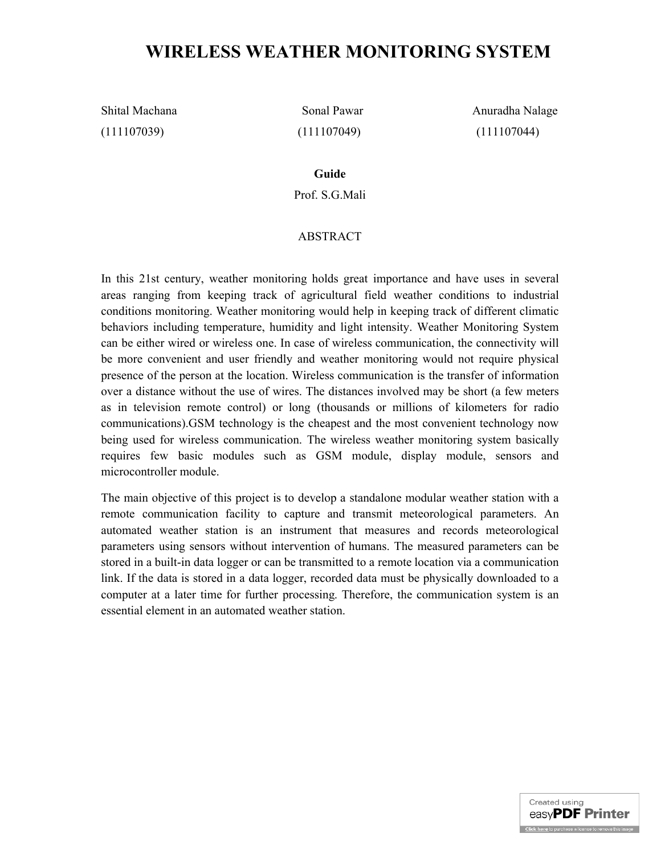# **WIRELESS WEATHER MONITORING SYSTEM**

(111107039) (111107049) (111107044)

Shital Machana Sonal Pawar Anuradha Nalage

**Guide**

Prof. S.G.Mali

#### ABSTRACT

In this 21st century, weather monitoring holds great importance and have uses in several areas ranging from keeping track of agricultural field weather conditions to industrial conditions monitoring. Weather monitoring would help in keeping track of different climatic behaviors including temperature, humidity and light intensity. Weather Monitoring System can be either wired or wireless one. In case of wireless communication, the connectivity will be more convenient and user friendly and weather monitoring would not require physical presence of the person at the location. Wireless communication is the transfer of information over a distance without the use of wires. The distances involved may be short (a few meters as in television remote control) or long (thousands or millions of kilometers for radio communications).GSM technology is the cheapest and the most convenient technology now being used for wireless communication. The wireless weather monitoring system basically requires few basic modules such as GSM module, display module, sensors and microcontroller module.

The main objective of this project is to develop a standalone modular weather station with a remote communication facility to capture and transmit meteorological parameters. An automated weather station is an instrument that measures and records meteorological parameters using sensors without intervention of humans. The measured parameters can be stored in a built-in data logger or can be transmitted to a remote location via a communication link. If the data is stored in a data logger, recorded data must be physically downloaded to a computer at a later time for further processing. Therefore, the communication system is an essential element in an automated weather station.

> Created using easyPDF Printer Click here to purchase a license to remove this image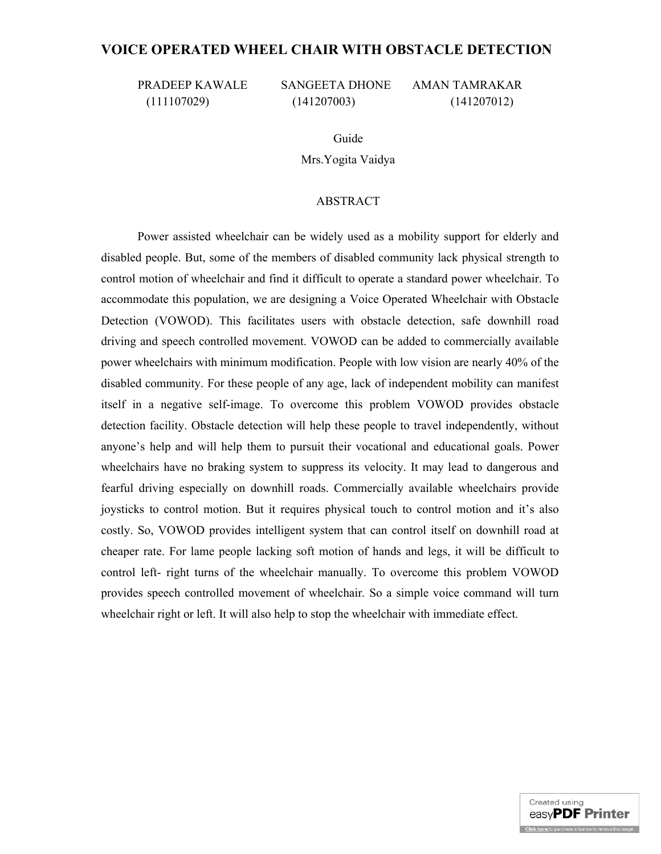## **VOICE OPERATED WHEEL CHAIR WITH OBSTACLE DETECTION**

PRADEEP KAWALE SANGEETA DHONE AMAN TAMRAKAR

(111107029) (141207003) (141207012)

Guide

Mrs.Yogita Vaidya

#### ABSTRACT

Power assisted wheelchair can be widely used as a mobility support for elderly and disabled people. But, some of the members of disabled community lack physical strength to control motion of wheelchair and find it difficult to operate a standard power wheelchair. To accommodate this population, we are designing a Voice Operated Wheelchair with Obstacle Detection (VOWOD). This facilitates users with obstacle detection, safe downhill road driving and speech controlled movement. VOWOD can be added to commercially available power wheelchairs with minimum modification. People with low vision are nearly 40% of the disabled community. For these people of any age, lack of independent mobility can manifest itself in a negative self-image. To overcome this problem VOWOD provides obstacle detection facility. Obstacle detection will help these people to travel independently, without anyone's help and will help them to pursuit their vocational and educational goals. Power wheelchairs have no braking system to suppress its velocity. It may lead to dangerous and fearful driving especially on downhill roads. Commercially available wheelchairs provide joysticks to control motion. But it requires physical touch to control motion and it's also costly. So, VOWOD provides intelligent system that can control itself on downhill road at cheaper rate. For lame people lacking soft motion of hands and legs, it will be difficult to control left- right turns of the wheelchair manually. To overcome this problem VOWOD provides speech controlled movement of wheelchair. So a simple voice command will turn wheelchair right or left. It will also help to stop the wheelchair with immediate effect.

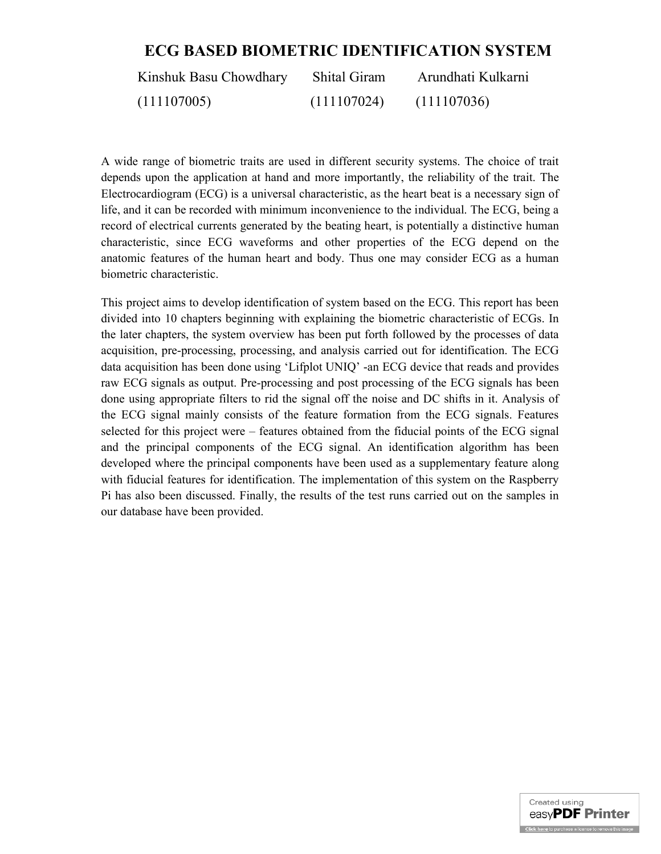# **ECG BASED BIOMETRIC IDENTIFICATION SYSTEM**

| Kinshuk Basu Chowdhary | <b>Shital Giram</b> | Arundhati Kulkarni |
|------------------------|---------------------|--------------------|
| (111107005)            | (111107024)         | (111107036)        |

A wide range of biometric traits are used in different security systems. The choice of trait depends upon the application at hand and more importantly, the reliability of the trait. The Electrocardiogram (ECG) is a universal characteristic, as the heart beat is a necessary sign of life, and it can be recorded with minimum inconvenience to the individual. The ECG, being a record of electrical currents generated by the beating heart, is potentially a distinctive human characteristic, since ECG waveforms and other properties of the ECG depend on the anatomic features of the human heart and body. Thus one may consider ECG as a human biometric characteristic.

This project aims to develop identification of system based on the ECG. This report has been divided into 10 chapters beginning with explaining the biometric characteristic of ECGs. In the later chapters, the system overview has been put forth followed by the processes of data acquisition, pre-processing, processing, and analysis carried out for identification. The ECG data acquisition has been done using 'Lifplot UNIQ' -an ECG device that reads and provides raw ECG signals as output. Pre-processing and post processing of the ECG signals has been done using appropriate filters to rid the signal off the noise and DC shifts in it. Analysis of the ECG signal mainly consists of the feature formation from the ECG signals. Features selected for this project were – features obtained from the fiducial points of the ECG signal and the principal components of the ECG signal. An identification algorithm has been developed where the principal components have been used as a supplementary feature along with fiducial features for identification. The implementation of this system on the Raspberry Pi has also been discussed. Finally, the results of the test runs carried out on the samples in our database have been provided.

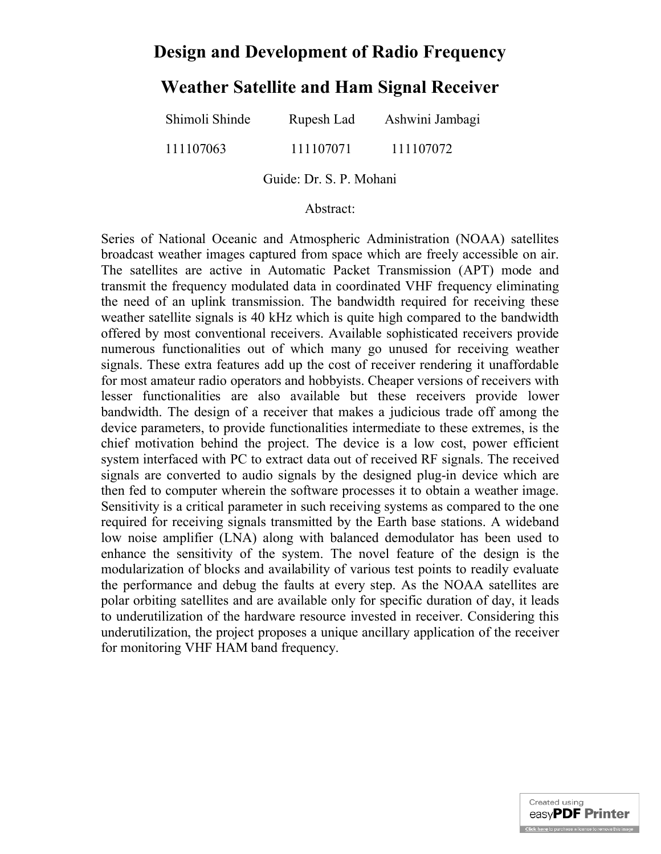# **Design and Development of Radio Frequency**

# **Weather Satellite and Ham Signal Receiver**

| Shimoli Shinde | Rupesh Lad | Ashwini Jambagi |
|----------------|------------|-----------------|
| 111107063      | 111107071  | 111107072       |

Guide: Dr. S. P. Mohani

#### Abstract:

Series of National Oceanic and Atmospheric Administration (NOAA) satellites broadcast weather images captured from space which are freely accessible on air. The satellites are active in Automatic Packet Transmission (APT) mode and transmit the frequency modulated data in coordinated VHF frequency eliminating the need of an uplink transmission. The bandwidth required for receiving these weather satellite signals is 40 kHz which is quite high compared to the bandwidth offered by most conventional receivers. Available sophisticated receivers provide numerous functionalities out of which many go unused for receiving weather signals. These extra features add up the cost of receiver rendering it unaffordable for most amateur radio operators and hobbyists. Cheaper versions of receivers with lesser functionalities are also available but these receivers provide lower bandwidth. The design of a receiver that makes a judicious trade off among the device parameters, to provide functionalities intermediate to these extremes, is the chief motivation behind the project. The device is a low cost, power efficient system interfaced with PC to extract data out of received RF signals. The received signals are converted to audio signals by the designed plug-in device which are then fed to computer wherein the software processes it to obtain a weather image. Sensitivity is a critical parameter in such receiving systems as compared to the one required for receiving signals transmitted by the Earth base stations. A wideband low noise amplifier (LNA) along with balanced demodulator has been used to enhance the sensitivity of the system. The novel feature of the design is the modularization of blocks and availability of various test points to readily evaluate the performance and debug the faults at every step. As the NOAA satellites are polar orbiting satellites and are available only for specific duration of day, it leads to underutilization of the hardware resource invested in receiver. Considering this underutilization, the project proposes a unique ancillary application of the receiver for monitoring VHF HAM band frequency.

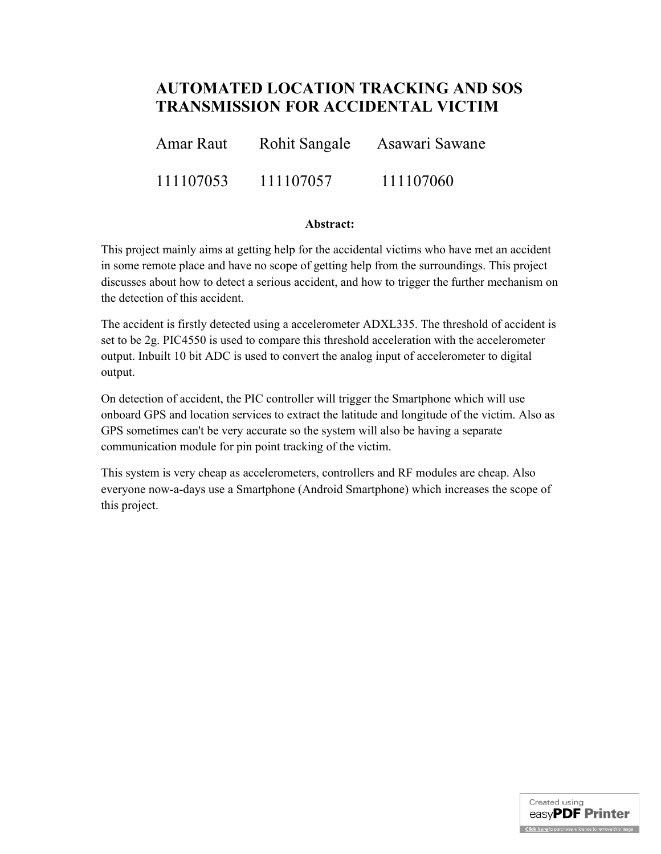# **AUTOMATED LOCATION TRACKING AND SOS TRANSMISSION FOR ACCIDENTAL VICTIM**

| Amar Raut | <b>Rohit Sangale</b> | Asawari Sawane |
|-----------|----------------------|----------------|
| 111107053 | 111107057            | 111107060      |

#### **Abstract:**

This project mainly aims at getting help for the accidental victims who have met an accident in some remote place and have no scope of getting help from the surroundings. This project discusses about how to detect a serious accident, and how to trigger the further mechanism on the detection of this accident.

The accident is firstly detected using a accelerometer ADXL335. The threshold of accident is set to be 2g. PIC4550 is used to compare this threshold acceleration with the accelerometer output. Inbuilt 10 bit ADC is used to convert the analog input of accelerometer to digital output.

On detection of accident, the PIC controller will trigger the Smartphone which will use onboard GPS and location services to extract the latitude and longitude of the victim. Also as GPS sometimes can't be very accurate so the system will also be having a separate communication module for pin point tracking of the victim.

This system is very cheap as accelerometers, controllers and RF modules are cheap. Also everyone now-a-days use a Smartphone (Android Smartphone) which increases the scope of this project.

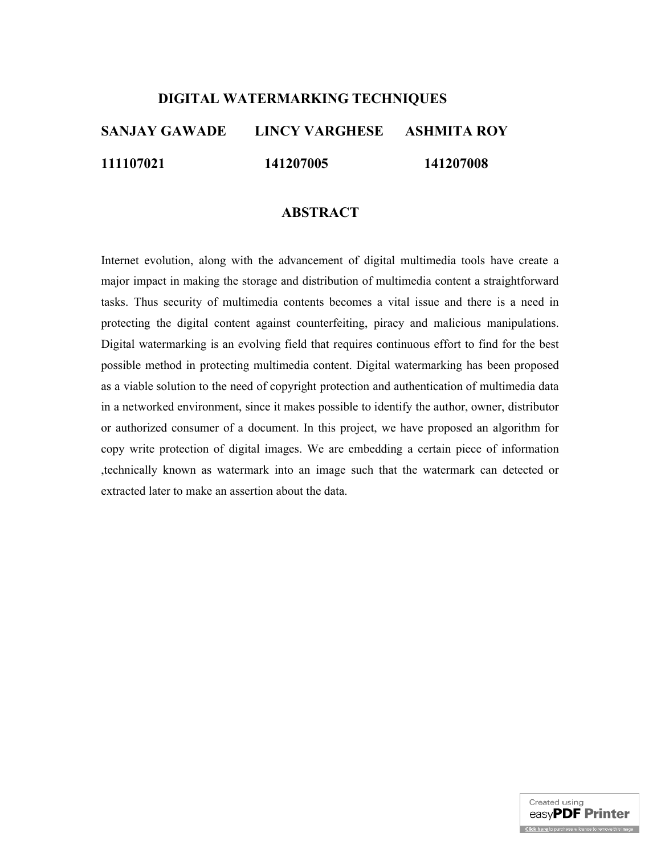# **DIGITAL WATERMARKING TECHNIQUES**

# **SANJAY GAWADE LINCY VARGHESE ASHMITA ROY 111107021 141207005 141207008**

## **ABSTRACT**

Internet evolution, along with the advancement of digital multimedia tools have create a major impact in making the storage and distribution of multimedia content a straightforward tasks. Thus security of multimedia contents becomes a vital issue and there is a need in protecting the digital content against counterfeiting, piracy and malicious manipulations. Digital watermarking is an evolving field that requires continuous effort to find for the best possible method in protecting multimedia content. Digital watermarking has been proposed as a viable solution to the need of copyright protection and authentication of multimedia data in a networked environment, since it makes possible to identify the author, owner, distributor or authorized consumer of a document. In this project, we have proposed an algorithm for copy write protection of digital images. We are embedding a certain piece of information ,technically known as watermark into an image such that the watermark can detected or extracted later to make an assertion about the data.

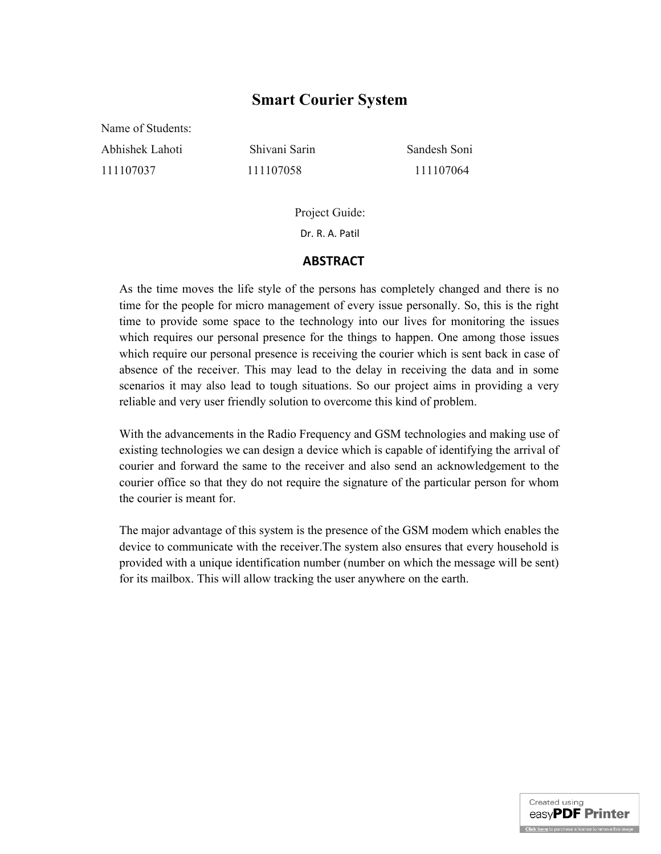# **Smart Courier System**

Name of Students: Abhishek Lahoti Shivani Sarin Sandesh Soni 111107037 111107058 111107064

Project Guide: Dr. R. A. Patil

#### **ABSTRACT**

As the time moves the life style of the persons has completely changed and there is no time for the people for micro management of every issue personally. So, this is the right time to provide some space to the technology into our lives for monitoring the issues which requires our personal presence for the things to happen. One among those issues which require our personal presence is receiving the courier which is sent back in case of absence of the receiver. This may lead to the delay in receiving the data and in some scenarios it may also lead to tough situations. So our project aims in providing a very reliable and very user friendly solution to overcome this kind of problem.

With the advancements in the Radio Frequency and GSM technologies and making use of existing technologies we can design a device which is capable of identifying the arrival of courier and forward the same to the receiver and also send an acknowledgement to the courier office so that they do not require the signature of the particular person for whom the courier is meant for.

The major advantage of this system is the presence of the GSM modem which enables the device to communicate with the receiver.The system also ensures that every household is provided with a unique identification number (number on which the message will be sent) for its mailbox. This will allow tracking the user anywhere on the earth.